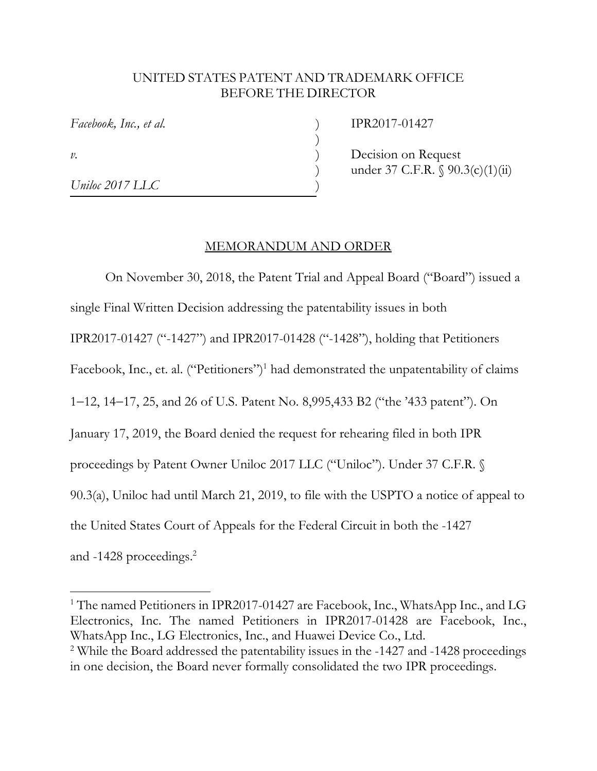## UNITED STATES PATENT AND TRADEMARK OFFICE BEFORE THE DIRECTOR

*Facebook, Inc., et al.* ) IPR2017-01427

)

 $\overline{a}$ 

*Uniloc 2017 LLC* )

*v*. Decision on Request under 37 C.F.R. § 90.3(c)(1)(ii)

## MEMORANDUM AND ORDER

 On November 30, 2018, the Patent Trial and Appeal Board ("Board") issued a single Final Written Decision addressing the patentability issues in both IPR2017-01427 ("-1427") and IPR2017-01428 ("-1428"), holding that Petitioners Facebook, Inc., et. al. ("Petitioners")<sup>1</sup> had demonstrated the unpatentability of claims 1–12, 14–17, 25, and 26 of U.S. Patent No. 8,995,433 B2 ("the '433 patent"). On January 17, 2019, the Board denied the request for rehearing filed in both IPR proceedings by Patent Owner Uniloc 2017 LLC ("Uniloc"). Under 37 C.F.R. § 90.3(a), Uniloc had until March 21, 2019, to file with the USPTO a notice of appeal to the United States Court of Appeals for the Federal Circuit in both the -1427 and -1428 proceedings.2

<sup>&</sup>lt;sup>1</sup> The named Petitioners in IPR2017-01427 are Facebook, Inc., WhatsApp Inc., and LG Electronics, Inc. The named Petitioners in IPR2017-01428 are Facebook, Inc., WhatsApp Inc., LG Electronics, Inc., and Huawei Device Co., Ltd.

<sup>&</sup>lt;sup>2</sup> While the Board addressed the patentability issues in the -1427 and -1428 proceedings in one decision, the Board never formally consolidated the two IPR proceedings.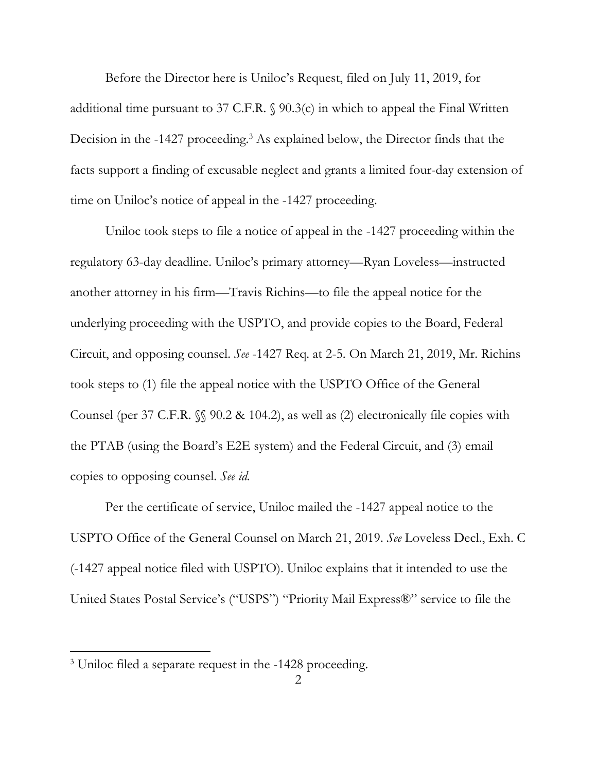Before the Director here is Uniloc's Request, filed on July 11, 2019, for additional time pursuant to 37 C.F.R. § 90.3(c) in which to appeal the Final Written Decision in the -1427 proceeding.<sup>3</sup> As explained below, the Director finds that the facts support a finding of excusable neglect and grants a limited four-day extension of time on Uniloc's notice of appeal in the -1427 proceeding.

 Uniloc took steps to file a notice of appeal in the -1427 proceeding within the regulatory 63-day deadline. Uniloc's primary attorney—Ryan Loveless—instructed another attorney in his firm—Travis Richins—to file the appeal notice for the underlying proceeding with the USPTO, and provide copies to the Board, Federal Circuit, and opposing counsel. *See* -1427 Req. at 2-5. On March 21, 2019, Mr. Richins took steps to (1) file the appeal notice with the USPTO Office of the General Counsel (per 37 C.F.R. §§ 90.2 & 104.2), as well as (2) electronically file copies with the PTAB (using the Board's E2E system) and the Federal Circuit, and (3) email copies to opposing counsel. *See id.*

Per the certificate of service, Uniloc mailed the -1427 appeal notice to the USPTO Office of the General Counsel on March 21, 2019. *See* Loveless Decl., Exh. C (-1427 appeal notice filed with USPTO). Uniloc explains that it intended to use the United States Postal Service's ("USPS") "Priority Mail Express®" service to file the

<sup>3</sup> Uniloc filed a separate request in the -1428 proceeding.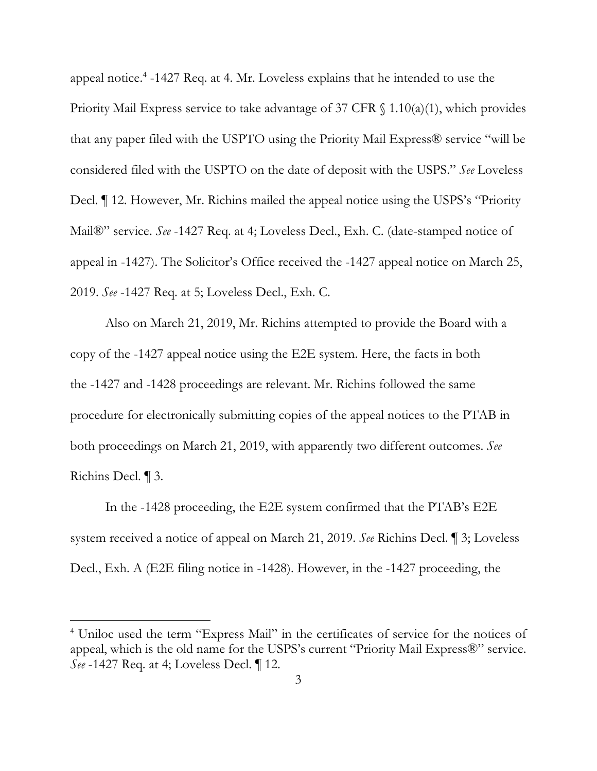appeal notice.<sup>4</sup> -1427 Req. at 4. Mr. Loveless explains that he intended to use the Priority Mail Express service to take advantage of 37 CFR  $\S$  1.10(a)(1), which provides that any paper filed with the USPTO using the Priority Mail Express® service "will be considered filed with the USPTO on the date of deposit with the USPS." *See* Loveless Decl. ¶ 12. However, Mr. Richins mailed the appeal notice using the USPS's "Priority Mail®" service. *See* -1427 Req. at 4; Loveless Decl., Exh. C. (date-stamped notice of appeal in -1427). The Solicitor's Office received the -1427 appeal notice on March 25, 2019. *See* -1427 Req. at 5; Loveless Decl., Exh. C.

Also on March 21, 2019, Mr. Richins attempted to provide the Board with a copy of the -1427 appeal notice using the E2E system. Here, the facts in both the -1427 and -1428 proceedings are relevant. Mr. Richins followed the same procedure for electronically submitting copies of the appeal notices to the PTAB in both proceedings on March 21, 2019, with apparently two different outcomes. *See* Richins Decl. ¶ 3.

In the -1428 proceeding, the E2E system confirmed that the PTAB's E2E system received a notice of appeal on March 21, 2019. *See* Richins Decl. ¶ 3; Loveless Decl., Exh. A (E2E filing notice in -1428). However, in the -1427 proceeding, the

<sup>&</sup>lt;sup>4</sup> Uniloc used the term "Express Mail" in the certificates of service for the notices of appeal, which is the old name for the USPS's current "Priority Mail Express®" service. *See* -1427 Req. at 4; Loveless Decl. ¶ 12.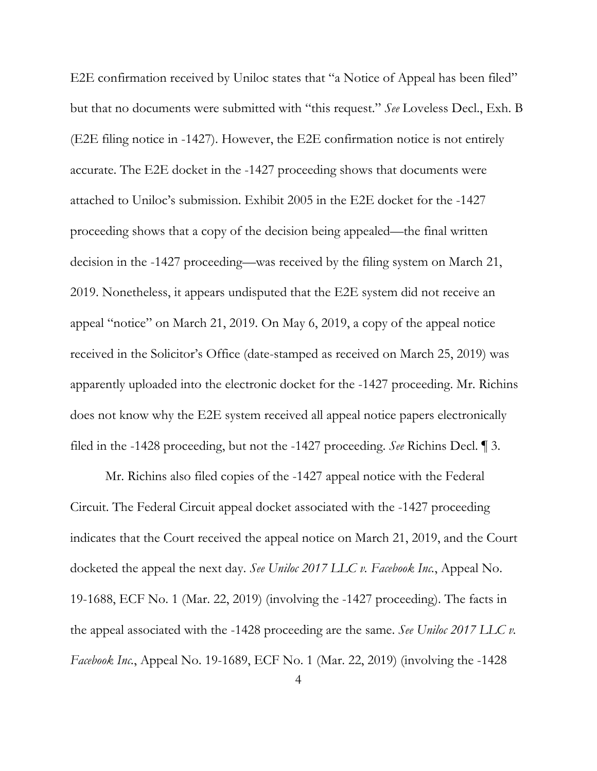E2E confirmation received by Uniloc states that "a Notice of Appeal has been filed" but that no documents were submitted with "this request." *See* Loveless Decl., Exh. B (E2E filing notice in -1427). However, the E2E confirmation notice is not entirely accurate. The E2E docket in the -1427 proceeding shows that documents were attached to Uniloc's submission. Exhibit 2005 in the E2E docket for the -1427 proceeding shows that a copy of the decision being appealed—the final written decision in the -1427 proceeding—was received by the filing system on March 21, 2019. Nonetheless, it appears undisputed that the E2E system did not receive an appeal "notice" on March 21, 2019. On May 6, 2019, a copy of the appeal notice received in the Solicitor's Office (date-stamped as received on March 25, 2019) was apparently uploaded into the electronic docket for the -1427 proceeding. Mr. Richins does not know why the E2E system received all appeal notice papers electronically filed in the -1428 proceeding, but not the -1427 proceeding. *See* Richins Decl. ¶ 3.

Mr. Richins also filed copies of the -1427 appeal notice with the Federal Circuit. The Federal Circuit appeal docket associated with the -1427 proceeding indicates that the Court received the appeal notice on March 21, 2019, and the Court docketed the appeal the next day. *See Uniloc 2017 LLC v. Facebook Inc.*, Appeal No. 19-1688, ECF No. 1 (Mar. 22, 2019) (involving the -1427 proceeding). The facts in the appeal associated with the -1428 proceeding are the same. *See Uniloc 2017 LLC v. Facebook Inc.*, Appeal No. 19-1689, ECF No. 1 (Mar. 22, 2019) (involving the -1428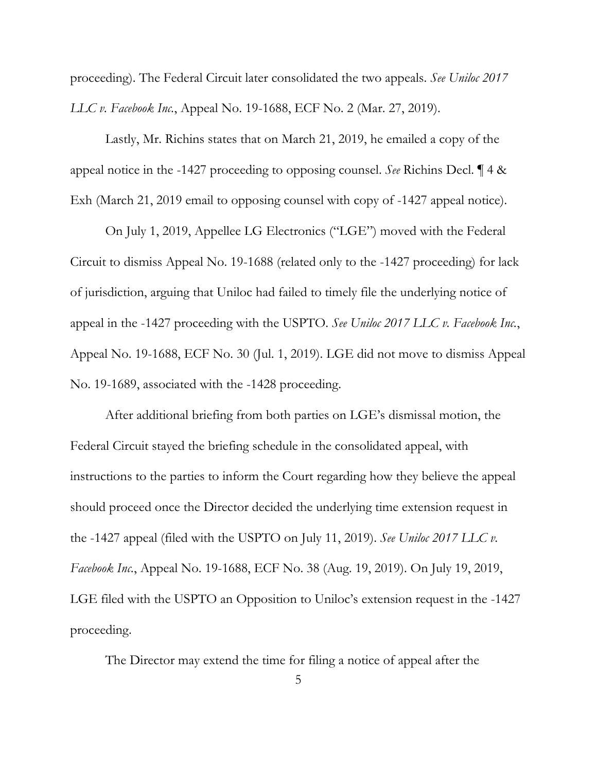proceeding). The Federal Circuit later consolidated the two appeals. *See Uniloc 2017 LLC v. Facebook Inc.*, Appeal No. 19-1688, ECF No. 2 (Mar. 27, 2019).

Lastly, Mr. Richins states that on March 21, 2019, he emailed a copy of the appeal notice in the -1427 proceeding to opposing counsel. *See* Richins Decl. ¶ 4 & Exh (March 21, 2019 email to opposing counsel with copy of -1427 appeal notice).

On July 1, 2019, Appellee LG Electronics ("LGE") moved with the Federal Circuit to dismiss Appeal No. 19-1688 (related only to the -1427 proceeding) for lack of jurisdiction, arguing that Uniloc had failed to timely file the underlying notice of appeal in the -1427 proceeding with the USPTO. *See Uniloc 2017 LLC v. Facebook Inc.*, Appeal No. 19-1688, ECF No. 30 (Jul. 1, 2019). LGE did not move to dismiss Appeal No. 19-1689, associated with the -1428 proceeding.

After additional briefing from both parties on LGE's dismissal motion, the Federal Circuit stayed the briefing schedule in the consolidated appeal, with instructions to the parties to inform the Court regarding how they believe the appeal should proceed once the Director decided the underlying time extension request in the -1427 appeal (filed with the USPTO on July 11, 2019). *See Uniloc 2017 LLC v. Facebook Inc.*, Appeal No. 19-1688, ECF No. 38 (Aug. 19, 2019). On July 19, 2019, LGE filed with the USPTO an Opposition to Uniloc's extension request in the -1427 proceeding.

The Director may extend the time for filing a notice of appeal after the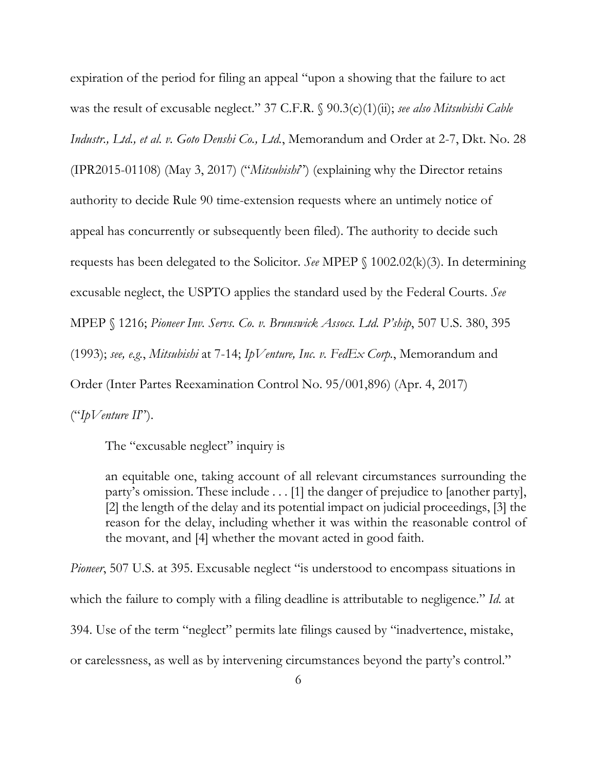expiration of the period for filing an appeal "upon a showing that the failure to act was the result of excusable neglect." 37 C.F.R. § 90.3(c)(1)(ii); *see also Mitsubishi Cable Industr., Ltd., et al. v. Goto Denshi Co., Ltd.*, Memorandum and Order at 2-7, Dkt. No. 28 (IPR2015-01108) (May 3, 2017) ("*Mitsubishi*") (explaining why the Director retains authority to decide Rule 90 time-extension requests where an untimely notice of appeal has concurrently or subsequently been filed). The authority to decide such requests has been delegated to the Solicitor. *See* MPEP § 1002.02(k)(3). In determining excusable neglect, the USPTO applies the standard used by the Federal Courts. *See* MPEP § 1216; *Pioneer Inv. Servs. Co. v. Brunswick Assocs. Ltd. P'ship*, 507 U.S. 380, 395 (1993); *see, e.g.*, *Mitsubishi* at 7-14; *IpVenture, Inc. v. FedEx Corp.*, Memorandum and Order (Inter Partes Reexamination Control No. 95/001,896) (Apr. 4, 2017) ("*IpVenture II*").

The "excusable neglect" inquiry is

an equitable one, taking account of all relevant circumstances surrounding the party's omission. These include . . . [1] the danger of prejudice to [another party], [2] the length of the delay and its potential impact on judicial proceedings, [3] the reason for the delay, including whether it was within the reasonable control of the movant, and [4] whether the movant acted in good faith.

*Pioneer*, 507 U.S. at 395. Excusable neglect "is understood to encompass situations in which the failure to comply with a filing deadline is attributable to negligence." *Id.* at 394. Use of the term "neglect" permits late filings caused by "inadvertence, mistake, or carelessness, as well as by intervening circumstances beyond the party's control."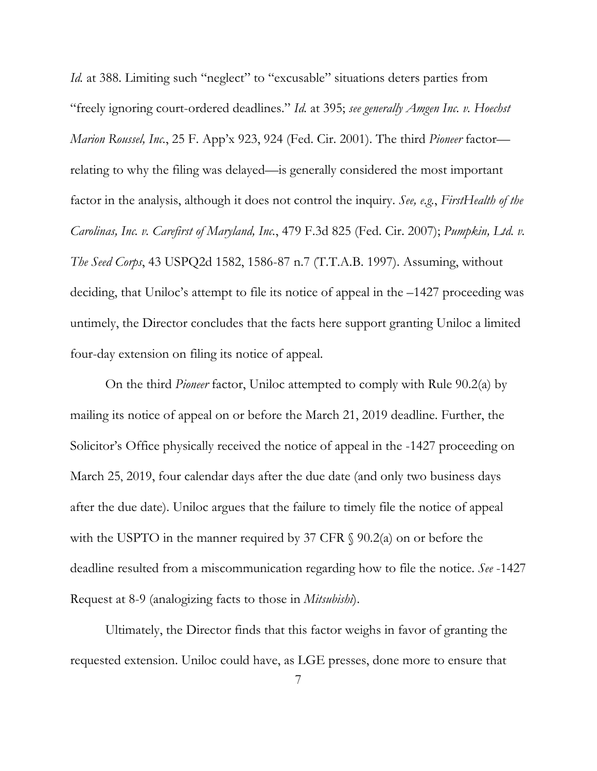*Id.* at 388. Limiting such "neglect" to "excusable" situations deters parties from "freely ignoring court-ordered deadlines." *Id.* at 395; *see generally Amgen Inc. v. Hoechst Marion Roussel, Inc.*, 25 F. App'x 923, 924 (Fed. Cir. 2001). The third *Pioneer* factor relating to why the filing was delayed—is generally considered the most important factor in the analysis, although it does not control the inquiry. *See, e.g.*, *FirstHealth of the Carolinas, Inc. v. Carefirst of Maryland, Inc.*, 479 F.3d 825 (Fed. Cir. 2007); *Pumpkin, Ltd. v. The Seed Corps*, 43 USPQ2d 1582, 1586-87 n.7 (T.T.A.B. 1997). Assuming, without deciding, that Uniloc's attempt to file its notice of appeal in the –1427 proceeding was untimely, the Director concludes that the facts here support granting Uniloc a limited four-day extension on filing its notice of appeal.

On the third *Pioneer* factor, Uniloc attempted to comply with Rule 90.2(a) by mailing its notice of appeal on or before the March 21, 2019 deadline. Further, the Solicitor's Office physically received the notice of appeal in the -1427 proceeding on March 25, 2019, four calendar days after the due date (and only two business days after the due date). Uniloc argues that the failure to timely file the notice of appeal with the USPTO in the manner required by 37 CFR  $\S$  90.2(a) on or before the deadline resulted from a miscommunication regarding how to file the notice. *See* -1427 Request at 8-9 (analogizing facts to those in *Mitsubishi*).

Ultimately, the Director finds that this factor weighs in favor of granting the requested extension. Uniloc could have, as LGE presses, done more to ensure that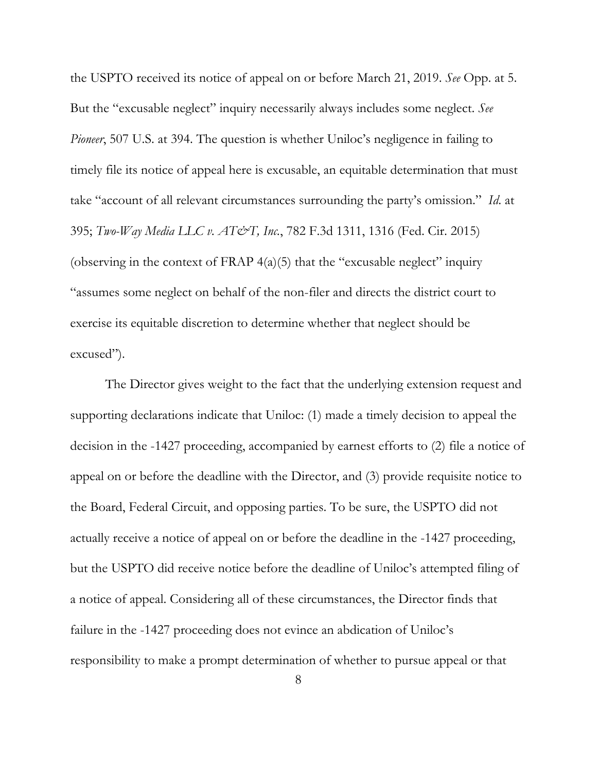the USPTO received its notice of appeal on or before March 21, 2019. *See* Opp. at 5. But the "excusable neglect" inquiry necessarily always includes some neglect. *See Pioneer*, 507 U.S. at 394. The question is whether Uniloc's negligence in failing to timely file its notice of appeal here is excusable, an equitable determination that must take "account of all relevant circumstances surrounding the party's omission." *Id*. at 395; *Two-Way Media LLC v. AT&T, Inc.*, 782 F.3d 1311, 1316 (Fed. Cir. 2015) (observing in the context of FRAP  $4(a)(5)$  that the "excusable neglect" inquiry "assumes some neglect on behalf of the non-filer and directs the district court to exercise its equitable discretion to determine whether that neglect should be excused").

The Director gives weight to the fact that the underlying extension request and supporting declarations indicate that Uniloc: (1) made a timely decision to appeal the decision in the -1427 proceeding, accompanied by earnest efforts to (2) file a notice of appeal on or before the deadline with the Director, and (3) provide requisite notice to the Board, Federal Circuit, and opposing parties. To be sure, the USPTO did not actually receive a notice of appeal on or before the deadline in the -1427 proceeding, but the USPTO did receive notice before the deadline of Uniloc's attempted filing of a notice of appeal. Considering all of these circumstances, the Director finds that failure in the -1427 proceeding does not evince an abdication of Uniloc's responsibility to make a prompt determination of whether to pursue appeal or that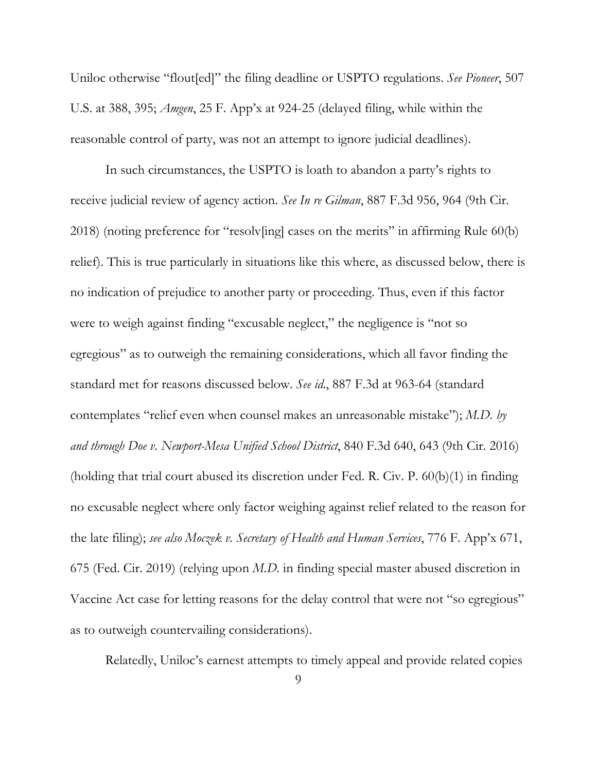Uniloc otherwise "flout[ed]" the filing deadline or USPTO regulations. *See Pioneer*, 507 U.S. at 388, 395; *Amgen*, 25 F. App'x at 924-25 (delayed filing, while within the reasonable control of party, was not an attempt to ignore judicial deadlines).

In such circumstances, the USPTO is loath to abandon a party's rights to receive judicial review of agency action. *See In re Gilman*, 887 F.3d 956, 964 (9th Cir. 2018) (noting preference for "resolv[ing] cases on the merits" in affirming Rule 60(b) relief). This is true particularly in situations like this where, as discussed below, there is no indication of prejudice to another party or proceeding. Thus, even if this factor were to weigh against finding "excusable neglect," the negligence is "not so egregious" as to outweigh the remaining considerations, which all favor finding the standard met for reasons discussed below. *See id.*, 887 F.3d at 963-64 (standard contemplates "relief even when counsel makes an unreasonable mistake"); *M.D. by and through Doe v. Newport-Mesa Unified School District*, 840 F.3d 640, 643 (9th Cir. 2016) (holding that trial court abused its discretion under Fed. R. Civ. P. 60(b)(1) in finding no excusable neglect where only factor weighing against relief related to the reason for the late filing); *see also Moczek v. Secretary of Health and Human Services*, 776 F. App'x 671, 675 (Fed. Cir. 2019) (relying upon *M.D.* in finding special master abused discretion in Vaccine Act case for letting reasons for the delay control that were not "so egregious" as to outweigh countervailing considerations).

Relatedly, Uniloc's earnest attempts to timely appeal and provide related copies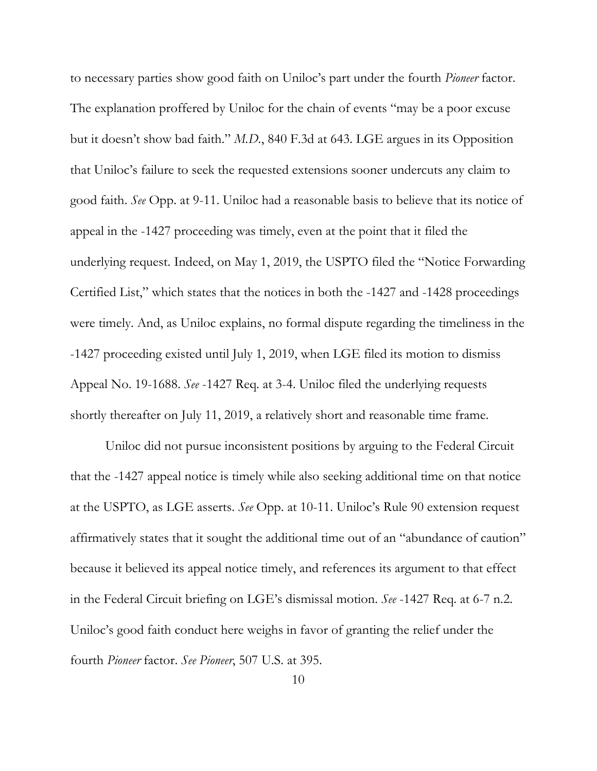to necessary parties show good faith on Uniloc's part under the fourth *Pioneer* factor. The explanation proffered by Uniloc for the chain of events "may be a poor excuse but it doesn't show bad faith." *M.D.*, 840 F.3d at 643. LGE argues in its Opposition that Uniloc's failure to seek the requested extensions sooner undercuts any claim to good faith. *See* Opp. at 9-11. Uniloc had a reasonable basis to believe that its notice of appeal in the -1427 proceeding was timely, even at the point that it filed the underlying request. Indeed, on May 1, 2019, the USPTO filed the "Notice Forwarding Certified List," which states that the notices in both the -1427 and -1428 proceedings were timely. And, as Uniloc explains, no formal dispute regarding the timeliness in the -1427 proceeding existed until July 1, 2019, when LGE filed its motion to dismiss Appeal No. 19-1688. *See* -1427 Req. at 3-4. Uniloc filed the underlying requests shortly thereafter on July 11, 2019, a relatively short and reasonable time frame.

Uniloc did not pursue inconsistent positions by arguing to the Federal Circuit that the -1427 appeal notice is timely while also seeking additional time on that notice at the USPTO, as LGE asserts. *See* Opp. at 10-11. Uniloc's Rule 90 extension request affirmatively states that it sought the additional time out of an "abundance of caution" because it believed its appeal notice timely, and references its argument to that effect in the Federal Circuit briefing on LGE's dismissal motion. *See* -1427 Req. at 6-7 n.2. Uniloc's good faith conduct here weighs in favor of granting the relief under the fourth *Pioneer* factor. *See Pioneer*, 507 U.S. at 395.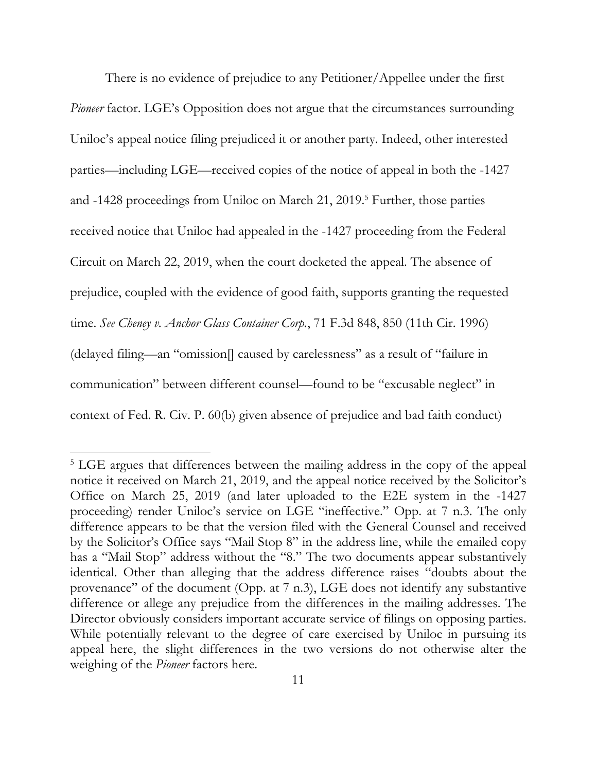There is no evidence of prejudice to any Petitioner/Appellee under the first *Pioneer* factor. LGE's Opposition does not argue that the circumstances surrounding Uniloc's appeal notice filing prejudiced it or another party. Indeed, other interested parties—including LGE—received copies of the notice of appeal in both the -1427 and -1428 proceedings from Uniloc on March 21, 2019.<sup>5</sup> Further, those parties received notice that Uniloc had appealed in the -1427 proceeding from the Federal Circuit on March 22, 2019, when the court docketed the appeal. The absence of prejudice, coupled with the evidence of good faith, supports granting the requested time. *See Cheney v. Anchor Glass Container Corp.*, 71 F.3d 848, 850 (11th Cir. 1996) (delayed filing—an "omission[] caused by carelessness" as a result of "failure in communication" between different counsel—found to be "excusable neglect" in context of Fed. R. Civ. P. 60(b) given absence of prejudice and bad faith conduct)

<sup>&</sup>lt;sup>5</sup> LGE argues that differences between the mailing address in the copy of the appeal notice it received on March 21, 2019, and the appeal notice received by the Solicitor's Office on March 25, 2019 (and later uploaded to the E2E system in the -1427 proceeding) render Uniloc's service on LGE "ineffective." Opp. at 7 n.3. The only difference appears to be that the version filed with the General Counsel and received by the Solicitor's Office says "Mail Stop 8" in the address line, while the emailed copy has a "Mail Stop" address without the "8." The two documents appear substantively identical. Other than alleging that the address difference raises "doubts about the provenance" of the document (Opp. at 7 n.3), LGE does not identify any substantive difference or allege any prejudice from the differences in the mailing addresses. The Director obviously considers important accurate service of filings on opposing parties. While potentially relevant to the degree of care exercised by Uniloc in pursuing its appeal here, the slight differences in the two versions do not otherwise alter the weighing of the *Pioneer* factors here.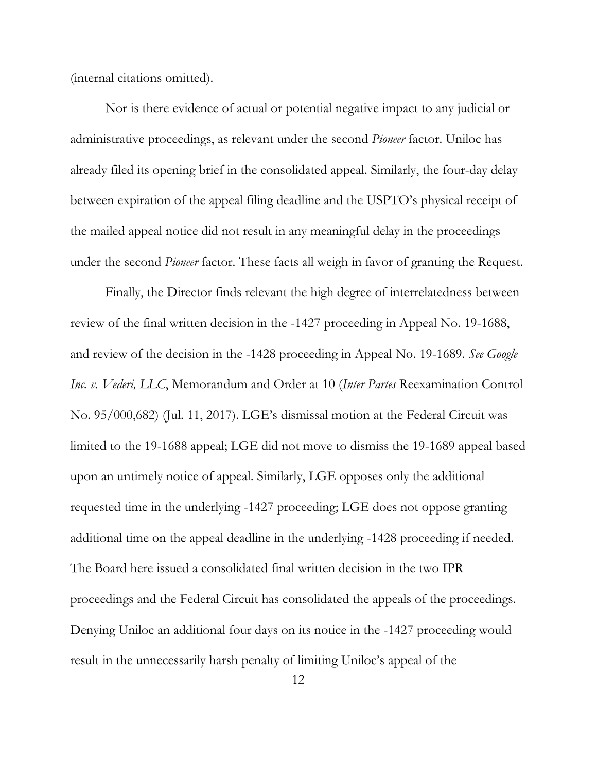(internal citations omitted).

Nor is there evidence of actual or potential negative impact to any judicial or administrative proceedings, as relevant under the second *Pioneer* factor. Uniloc has already filed its opening brief in the consolidated appeal. Similarly, the four-day delay between expiration of the appeal filing deadline and the USPTO's physical receipt of the mailed appeal notice did not result in any meaningful delay in the proceedings under the second *Pioneer* factor. These facts all weigh in favor of granting the Request.

Finally, the Director finds relevant the high degree of interrelatedness between review of the final written decision in the -1427 proceeding in Appeal No. 19-1688, and review of the decision in the -1428 proceeding in Appeal No. 19-1689. *See Google Inc. v. Vederi, LLC*, Memorandum and Order at 10 (*Inter Partes* Reexamination Control No. 95/000,682) (Jul. 11, 2017). LGE's dismissal motion at the Federal Circuit was limited to the 19-1688 appeal; LGE did not move to dismiss the 19-1689 appeal based upon an untimely notice of appeal. Similarly, LGE opposes only the additional requested time in the underlying -1427 proceeding; LGE does not oppose granting additional time on the appeal deadline in the underlying -1428 proceeding if needed. The Board here issued a consolidated final written decision in the two IPR proceedings and the Federal Circuit has consolidated the appeals of the proceedings. Denying Uniloc an additional four days on its notice in the -1427 proceeding would result in the unnecessarily harsh penalty of limiting Uniloc's appeal of the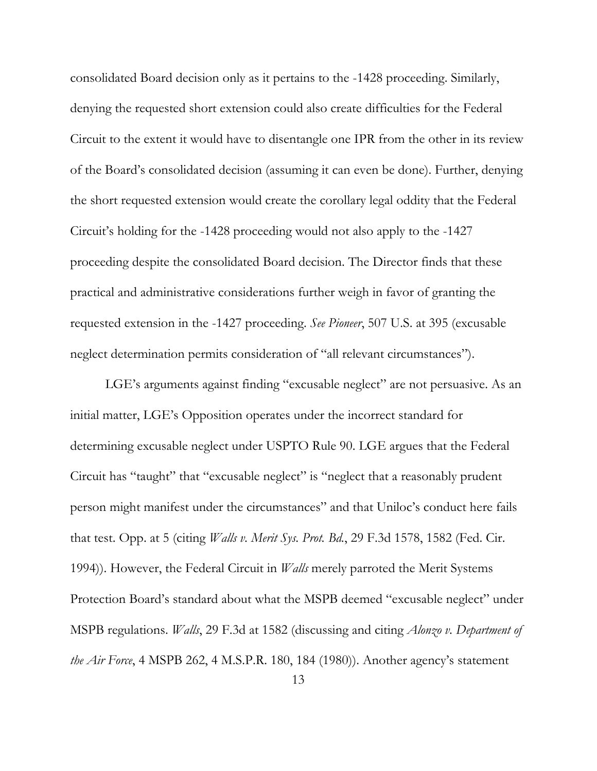consolidated Board decision only as it pertains to the -1428 proceeding. Similarly, denying the requested short extension could also create difficulties for the Federal Circuit to the extent it would have to disentangle one IPR from the other in its review of the Board's consolidated decision (assuming it can even be done). Further, denying the short requested extension would create the corollary legal oddity that the Federal Circuit's holding for the -1428 proceeding would not also apply to the -1427 proceeding despite the consolidated Board decision. The Director finds that these practical and administrative considerations further weigh in favor of granting the requested extension in the -1427 proceeding. *See Pioneer*, 507 U.S. at 395 (excusable neglect determination permits consideration of "all relevant circumstances").

LGE's arguments against finding "excusable neglect" are not persuasive. As an initial matter, LGE's Opposition operates under the incorrect standard for determining excusable neglect under USPTO Rule 90. LGE argues that the Federal Circuit has "taught" that "excusable neglect" is "neglect that a reasonably prudent person might manifest under the circumstances" and that Uniloc's conduct here fails that test. Opp. at 5 (citing *Walls v. Merit Sys. Prot. Bd.*, 29 F.3d 1578, 1582 (Fed. Cir. 1994)). However, the Federal Circuit in *Walls* merely parroted the Merit Systems Protection Board's standard about what the MSPB deemed "excusable neglect" under MSPB regulations. *Walls*, 29 F.3d at 1582 (discussing and citing *Alonzo v. Department of the Air Force*, 4 MSPB 262, 4 M.S.P.R. 180, 184 (1980)). Another agency's statement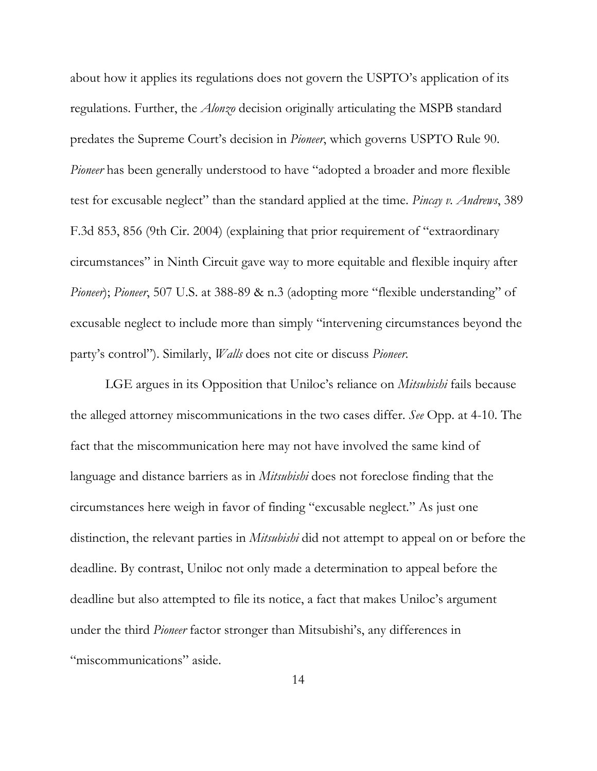about how it applies its regulations does not govern the USPTO's application of its regulations. Further, the *Alonzo* decision originally articulating the MSPB standard predates the Supreme Court's decision in *Pioneer*, which governs USPTO Rule 90. *Pioneer* has been generally understood to have "adopted a broader and more flexible test for excusable neglect" than the standard applied at the time. *Pincay v. Andrews*, 389 F.3d 853, 856 (9th Cir. 2004) (explaining that prior requirement of "extraordinary circumstances" in Ninth Circuit gave way to more equitable and flexible inquiry after *Pioneer*); *Pioneer*, 507 U.S. at 388-89 & n.3 (adopting more "flexible understanding" of excusable neglect to include more than simply "intervening circumstances beyond the party's control"). Similarly, *Walls* does not cite or discuss *Pioneer*.

LGE argues in its Opposition that Uniloc's reliance on *Mitsubishi* fails because the alleged attorney miscommunications in the two cases differ. *See* Opp. at 4-10. The fact that the miscommunication here may not have involved the same kind of language and distance barriers as in *Mitsubishi* does not foreclose finding that the circumstances here weigh in favor of finding "excusable neglect." As just one distinction, the relevant parties in *Mitsubishi* did not attempt to appeal on or before the deadline. By contrast, Uniloc not only made a determination to appeal before the deadline but also attempted to file its notice, a fact that makes Uniloc's argument under the third *Pioneer* factor stronger than Mitsubishi's, any differences in "miscommunications" aside.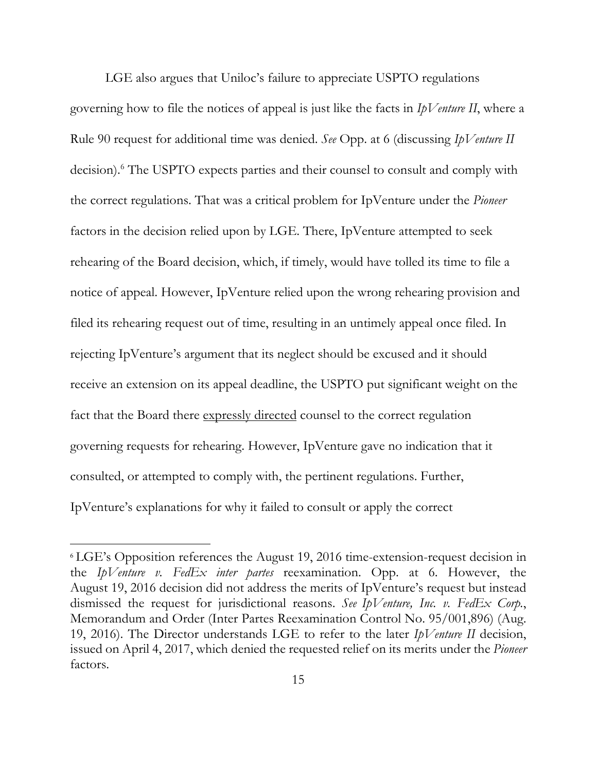LGE also argues that Uniloc's failure to appreciate USPTO regulations governing how to file the notices of appeal is just like the facts in *IpVenture II*, where a Rule 90 request for additional time was denied. *See* Opp. at 6 (discussing *IpVenture II* decision).6 The USPTO expects parties and their counsel to consult and comply with the correct regulations. That was a critical problem for IpVenture under the *Pioneer* factors in the decision relied upon by LGE. There, IpVenture attempted to seek rehearing of the Board decision, which, if timely, would have tolled its time to file a notice of appeal. However, IpVenture relied upon the wrong rehearing provision and filed its rehearing request out of time, resulting in an untimely appeal once filed. In rejecting IpVenture's argument that its neglect should be excused and it should receive an extension on its appeal deadline, the USPTO put significant weight on the fact that the Board there expressly directed counsel to the correct regulation governing requests for rehearing. However, IpVenture gave no indication that it consulted, or attempted to comply with, the pertinent regulations. Further, IpVenture's explanations for why it failed to consult or apply the correct

<sup>6</sup> LGE's Opposition references the August 19, 2016 time-extension-request decision in the *IpVenture v. FedEx inter partes* reexamination. Opp. at 6. However, the August 19, 2016 decision did not address the merits of IpVenture's request but instead dismissed the request for jurisdictional reasons. *See IpVenture, Inc. v. FedEx Corp.*, Memorandum and Order (Inter Partes Reexamination Control No. 95/001,896) (Aug. 19, 2016). The Director understands LGE to refer to the later *IpVenture II* decision, issued on April 4, 2017, which denied the requested relief on its merits under the *Pioneer* factors.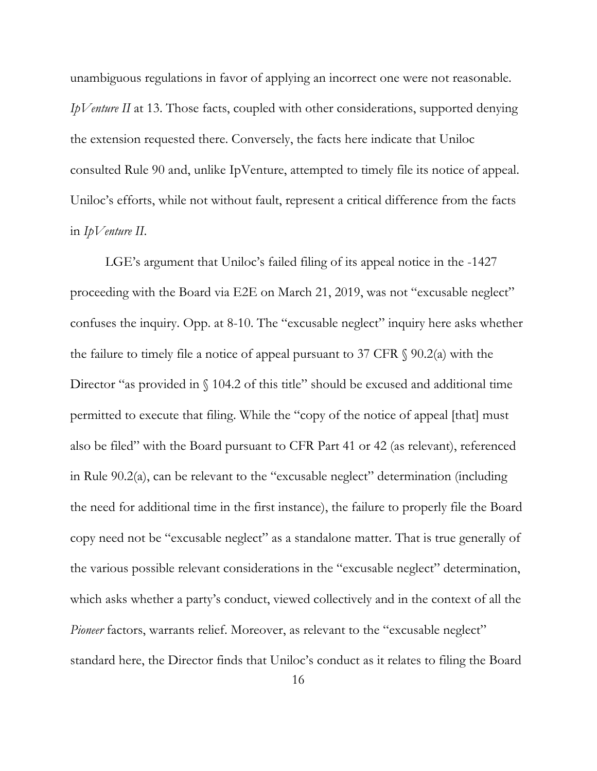unambiguous regulations in favor of applying an incorrect one were not reasonable. *IpVenture II* at 13. Those facts, coupled with other considerations, supported denying the extension requested there. Conversely, the facts here indicate that Uniloc consulted Rule 90 and, unlike IpVenture, attempted to timely file its notice of appeal. Uniloc's efforts, while not without fault, represent a critical difference from the facts in *IpVenture II*.

LGE's argument that Uniloc's failed filing of its appeal notice in the -1427 proceeding with the Board via E2E on March 21, 2019, was not "excusable neglect" confuses the inquiry. Opp. at 8-10. The "excusable neglect" inquiry here asks whether the failure to timely file a notice of appeal pursuant to 37 CFR  $\S$  90.2(a) with the Director "as provided in  $\int$  104.2 of this title" should be excused and additional time permitted to execute that filing. While the "copy of the notice of appeal [that] must also be filed" with the Board pursuant to CFR Part 41 or 42 (as relevant), referenced in Rule 90.2(a), can be relevant to the "excusable neglect" determination (including the need for additional time in the first instance), the failure to properly file the Board copy need not be "excusable neglect" as a standalone matter. That is true generally of the various possible relevant considerations in the "excusable neglect" determination, which asks whether a party's conduct, viewed collectively and in the context of all the *Pioneer* factors, warrants relief. Moreover, as relevant to the "excusable neglect" standard here, the Director finds that Uniloc's conduct as it relates to filing the Board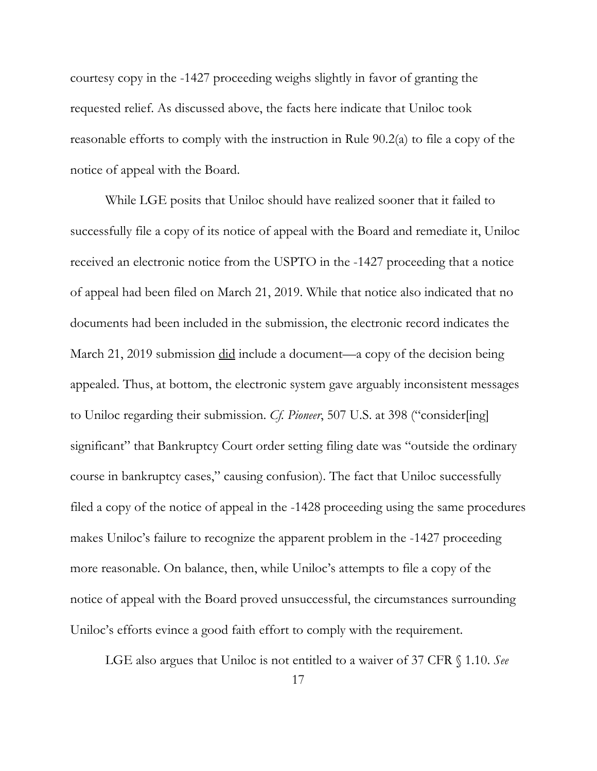courtesy copy in the -1427 proceeding weighs slightly in favor of granting the requested relief. As discussed above, the facts here indicate that Uniloc took reasonable efforts to comply with the instruction in Rule 90.2(a) to file a copy of the notice of appeal with the Board.

While LGE posits that Uniloc should have realized sooner that it failed to successfully file a copy of its notice of appeal with the Board and remediate it, Uniloc received an electronic notice from the USPTO in the -1427 proceeding that a notice of appeal had been filed on March 21, 2019. While that notice also indicated that no documents had been included in the submission, the electronic record indicates the March 21, 2019 submission did include a document—a copy of the decision being appealed. Thus, at bottom, the electronic system gave arguably inconsistent messages to Uniloc regarding their submission. *Cf. Pioneer*, 507 U.S. at 398 ("consider[ing] significant" that Bankruptcy Court order setting filing date was "outside the ordinary course in bankruptcy cases," causing confusion). The fact that Uniloc successfully filed a copy of the notice of appeal in the -1428 proceeding using the same procedures makes Uniloc's failure to recognize the apparent problem in the -1427 proceeding more reasonable. On balance, then, while Uniloc's attempts to file a copy of the notice of appeal with the Board proved unsuccessful, the circumstances surrounding Uniloc's efforts evince a good faith effort to comply with the requirement.

LGE also argues that Uniloc is not entitled to a waiver of 37 CFR § 1.10. *See*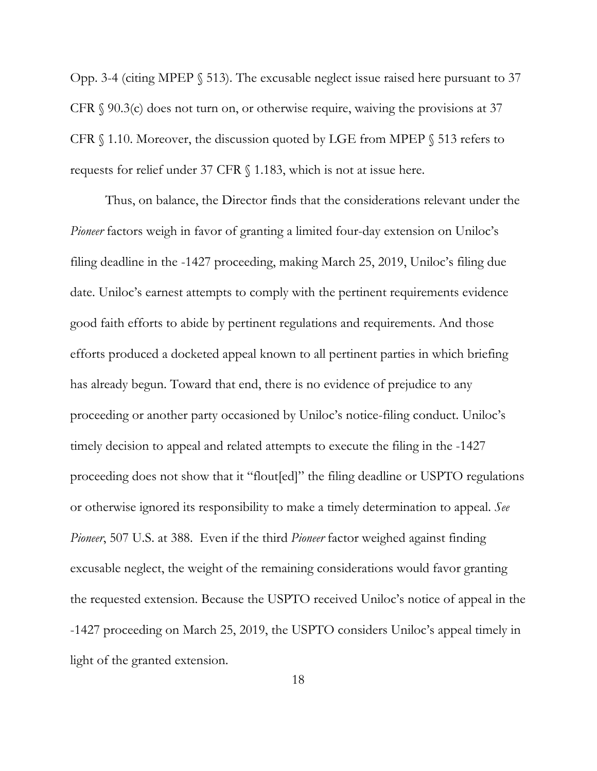Opp. 3-4 (citing MPEP § 513). The excusable neglect issue raised here pursuant to 37 CFR  $\S$  90.3(c) does not turn on, or otherwise require, waiving the provisions at 37 CFR § 1.10. Moreover, the discussion quoted by LGE from MPEP § 513 refers to requests for relief under 37 CFR § 1.183, which is not at issue here.

Thus, on balance, the Director finds that the considerations relevant under the *Pioneer* factors weigh in favor of granting a limited four-day extension on Uniloc's filing deadline in the -1427 proceeding, making March 25, 2019, Uniloc's filing due date. Uniloc's earnest attempts to comply with the pertinent requirements evidence good faith efforts to abide by pertinent regulations and requirements. And those efforts produced a docketed appeal known to all pertinent parties in which briefing has already begun. Toward that end, there is no evidence of prejudice to any proceeding or another party occasioned by Uniloc's notice-filing conduct. Uniloc's timely decision to appeal and related attempts to execute the filing in the -1427 proceeding does not show that it "flout[ed]" the filing deadline or USPTO regulations or otherwise ignored its responsibility to make a timely determination to appeal. *See Pioneer*, 507 U.S. at 388. Even if the third *Pioneer* factor weighed against finding excusable neglect, the weight of the remaining considerations would favor granting the requested extension. Because the USPTO received Uniloc's notice of appeal in the -1427 proceeding on March 25, 2019, the USPTO considers Uniloc's appeal timely in light of the granted extension.